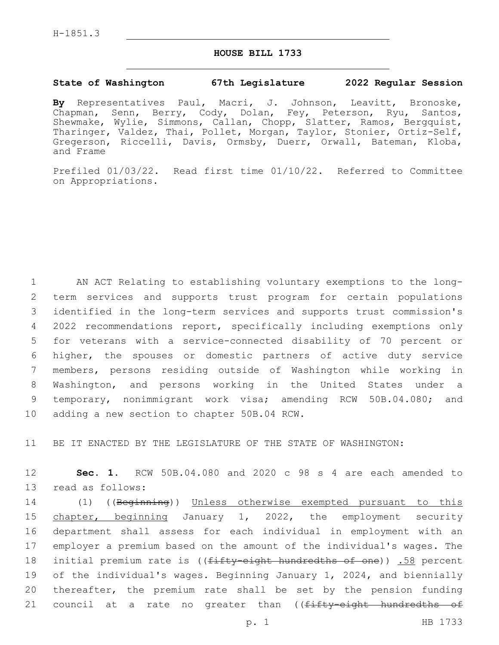## **HOUSE BILL 1733**

## **State of Washington 67th Legislature 2022 Regular Session**

**By** Representatives Paul, Macri, J. Johnson, Leavitt, Bronoske, Chapman, Senn, Berry, Cody, Dolan, Fey, Peterson, Ryu, Santos, Shewmake, Wylie, Simmons, Callan, Chopp, Slatter, Ramos, Bergquist, Tharinger, Valdez, Thai, Pollet, Morgan, Taylor, Stonier, Ortiz-Self, Gregerson, Riccelli, Davis, Ormsby, Duerr, Orwall, Bateman, Kloba, and Frame

Prefiled 01/03/22. Read first time 01/10/22. Referred to Committee on Appropriations.

 AN ACT Relating to establishing voluntary exemptions to the long- term services and supports trust program for certain populations identified in the long-term services and supports trust commission's 2022 recommendations report, specifically including exemptions only for veterans with a service-connected disability of 70 percent or higher, the spouses or domestic partners of active duty service members, persons residing outside of Washington while working in Washington, and persons working in the United States under a temporary, nonimmigrant work visa; amending RCW 50B.04.080; and 10 adding a new section to chapter 50B.04 RCW.

11 BE IT ENACTED BY THE LEGISLATURE OF THE STATE OF WASHINGTON:

12 **Sec. 1.** RCW 50B.04.080 and 2020 c 98 s 4 are each amended to 13 read as follows:

 (1) ((Beginning)) Unless otherwise exempted pursuant to this chapter, beginning January 1, 2022, the employment security department shall assess for each individual in employment with an employer a premium based on the amount of the individual's wages. The 18 initial premium rate is ((fifty-eight hundredths of one)) .58 percent of the individual's wages. Beginning January 1, 2024, and biennially thereafter, the premium rate shall be set by the pension funding 21 council at a rate no greater than ((fifty-eight hundredths of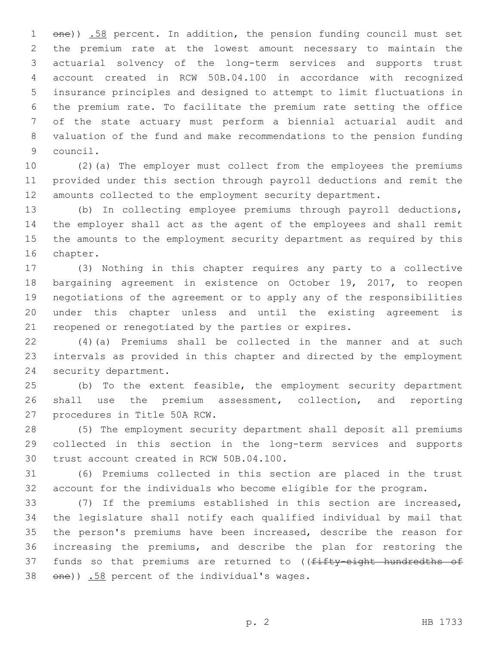1 one)) .58 percent. In addition, the pension funding council must set the premium rate at the lowest amount necessary to maintain the actuarial solvency of the long-term services and supports trust account created in RCW 50B.04.100 in accordance with recognized insurance principles and designed to attempt to limit fluctuations in the premium rate. To facilitate the premium rate setting the office of the state actuary must perform a biennial actuarial audit and valuation of the fund and make recommendations to the pension funding 9 council.

 (2)(a) The employer must collect from the employees the premiums provided under this section through payroll deductions and remit the amounts collected to the employment security department.

 (b) In collecting employee premiums through payroll deductions, the employer shall act as the agent of the employees and shall remit the amounts to the employment security department as required by this 16 chapter.

 (3) Nothing in this chapter requires any party to a collective bargaining agreement in existence on October 19, 2017, to reopen negotiations of the agreement or to apply any of the responsibilities under this chapter unless and until the existing agreement is reopened or renegotiated by the parties or expires.

 (4)(a) Premiums shall be collected in the manner and at such intervals as provided in this chapter and directed by the employment 24 security department.

 (b) To the extent feasible, the employment security department shall use the premium assessment, collection, and reporting 27 procedures in Title 50A RCW.

 (5) The employment security department shall deposit all premiums collected in this section in the long-term services and supports 30 trust account created in RCW 50B.04.100.

 (6) Premiums collected in this section are placed in the trust account for the individuals who become eligible for the program.

 (7) If the premiums established in this section are increased, the legislature shall notify each qualified individual by mail that the person's premiums have been increased, describe the reason for increasing the premiums, and describe the plan for restoring the 37 funds so that premiums are returned to ((fifty-eight hundredths of  $\theta$ )  $\frac{158}{10}$  percent of the individual's wages.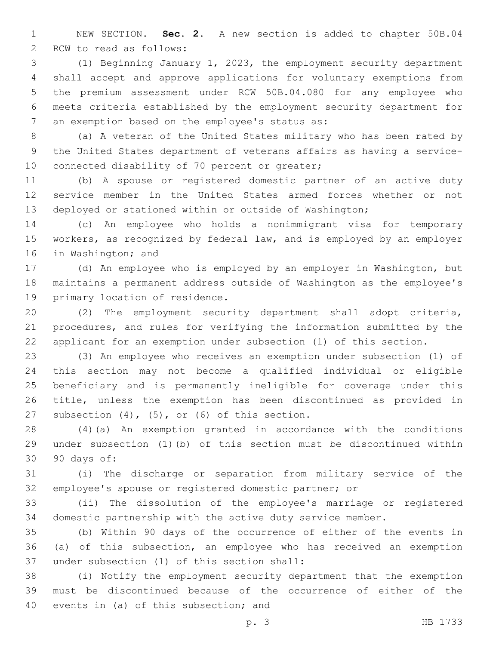NEW SECTION. **Sec. 2.** A new section is added to chapter 50B.04 2 RCW to read as follows:

 (1) Beginning January 1, 2023, the employment security department shall accept and approve applications for voluntary exemptions from the premium assessment under RCW 50B.04.080 for any employee who meets criteria established by the employment security department for 7 an exemption based on the employee's status as:

 (a) A veteran of the United States military who has been rated by the United States department of veterans affairs as having a service-10 connected disability of 70 percent or greater;

 (b) A spouse or registered domestic partner of an active duty service member in the United States armed forces whether or not deployed or stationed within or outside of Washington;

 (c) An employee who holds a nonimmigrant visa for temporary workers, as recognized by federal law, and is employed by an employer 16 in Washington; and

 (d) An employee who is employed by an employer in Washington, but maintains a permanent address outside of Washington as the employee's 19 primary location of residence.

 (2) The employment security department shall adopt criteria, procedures, and rules for verifying the information submitted by the applicant for an exemption under subsection (1) of this section.

 (3) An employee who receives an exemption under subsection (1) of this section may not become a qualified individual or eligible beneficiary and is permanently ineligible for coverage under this title, unless the exemption has been discontinued as provided in 27 subsection  $(4)$ ,  $(5)$ , or  $(6)$  of this section.

 (4)(a) An exemption granted in accordance with the conditions under subsection (1)(b) of this section must be discontinued within 90 days of:30

 (i) The discharge or separation from military service of the employee's spouse or registered domestic partner; or

 (ii) The dissolution of the employee's marriage or registered domestic partnership with the active duty service member.

 (b) Within 90 days of the occurrence of either of the events in (a) of this subsection, an employee who has received an exemption 37 under subsection (1) of this section shall:

 (i) Notify the employment security department that the exemption must be discontinued because of the occurrence of either of the 40 events in (a) of this subsection; and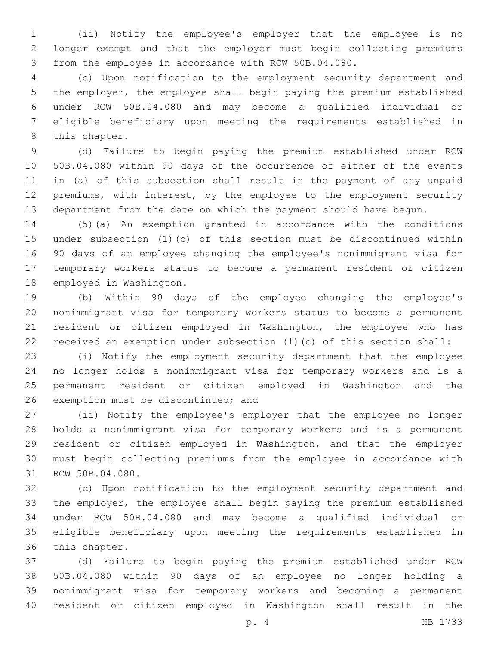(ii) Notify the employee's employer that the employee is no longer exempt and that the employer must begin collecting premiums from the employee in accordance with RCW 50B.04.080.

 (c) Upon notification to the employment security department and the employer, the employee shall begin paying the premium established under RCW 50B.04.080 and may become a qualified individual or eligible beneficiary upon meeting the requirements established in 8 this chapter.

 (d) Failure to begin paying the premium established under RCW 50B.04.080 within 90 days of the occurrence of either of the events in (a) of this subsection shall result in the payment of any unpaid premiums, with interest, by the employee to the employment security department from the date on which the payment should have begun.

 (5)(a) An exemption granted in accordance with the conditions under subsection (1)(c) of this section must be discontinued within 90 days of an employee changing the employee's nonimmigrant visa for temporary workers status to become a permanent resident or citizen 18 employed in Washington.

 (b) Within 90 days of the employee changing the employee's nonimmigrant visa for temporary workers status to become a permanent resident or citizen employed in Washington, the employee who has received an exemption under subsection (1)(c) of this section shall:

 (i) Notify the employment security department that the employee no longer holds a nonimmigrant visa for temporary workers and is a permanent resident or citizen employed in Washington and the 26 exemption must be discontinued; and

 (ii) Notify the employee's employer that the employee no longer holds a nonimmigrant visa for temporary workers and is a permanent resident or citizen employed in Washington, and that the employer must begin collecting premiums from the employee in accordance with 31 RCW 50B.04.080.

 (c) Upon notification to the employment security department and the employer, the employee shall begin paying the premium established under RCW 50B.04.080 and may become a qualified individual or eligible beneficiary upon meeting the requirements established in 36 this chapter.

 (d) Failure to begin paying the premium established under RCW 50B.04.080 within 90 days of an employee no longer holding a nonimmigrant visa for temporary workers and becoming a permanent resident or citizen employed in Washington shall result in the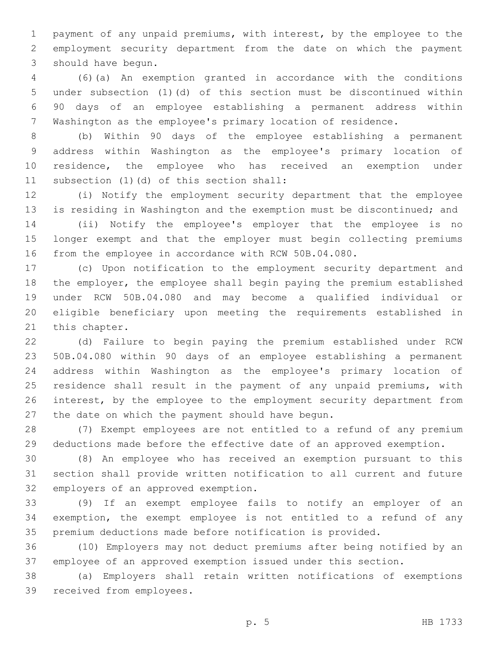payment of any unpaid premiums, with interest, by the employee to the employment security department from the date on which the payment 3 should have begun.

 (6)(a) An exemption granted in accordance with the conditions under subsection (1)(d) of this section must be discontinued within 90 days of an employee establishing a permanent address within Washington as the employee's primary location of residence.

 (b) Within 90 days of the employee establishing a permanent address within Washington as the employee's primary location of residence, the employee who has received an exemption under 11 subsection (1)(d) of this section shall:

 (i) Notify the employment security department that the employee is residing in Washington and the exemption must be discontinued; and

 (ii) Notify the employee's employer that the employee is no longer exempt and that the employer must begin collecting premiums from the employee in accordance with RCW 50B.04.080.

 (c) Upon notification to the employment security department and the employer, the employee shall begin paying the premium established under RCW 50B.04.080 and may become a qualified individual or eligible beneficiary upon meeting the requirements established in 21 this chapter.

 (d) Failure to begin paying the premium established under RCW 50B.04.080 within 90 days of an employee establishing a permanent address within Washington as the employee's primary location of residence shall result in the payment of any unpaid premiums, with interest, by the employee to the employment security department from 27 the date on which the payment should have begun.

 (7) Exempt employees are not entitled to a refund of any premium deductions made before the effective date of an approved exemption.

 (8) An employee who has received an exemption pursuant to this section shall provide written notification to all current and future 32 employers of an approved exemption.

 (9) If an exempt employee fails to notify an employer of an exemption, the exempt employee is not entitled to a refund of any premium deductions made before notification is provided.

 (10) Employers may not deduct premiums after being notified by an employee of an approved exemption issued under this section.

 (a) Employers shall retain written notifications of exemptions 39 received from employees.